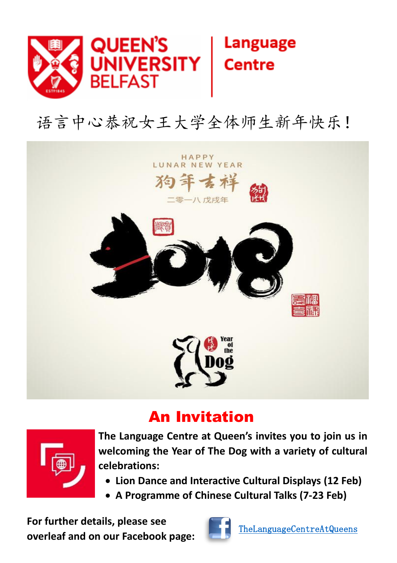

## 语言中心恭祝女王大学全体师生新年快乐!



## An Invitation



**The Language Centre at Queen's invites you to join us in welcoming the Year of The Dog with a variety of cultural celebrations:**

- **Lion Dance and Interactive Cultural Displays (12 Feb)**
- **A Programme of Chinese Cultural Talks (7-23 Feb)**

**For further details, please see overleaf and on our Facebook page:**